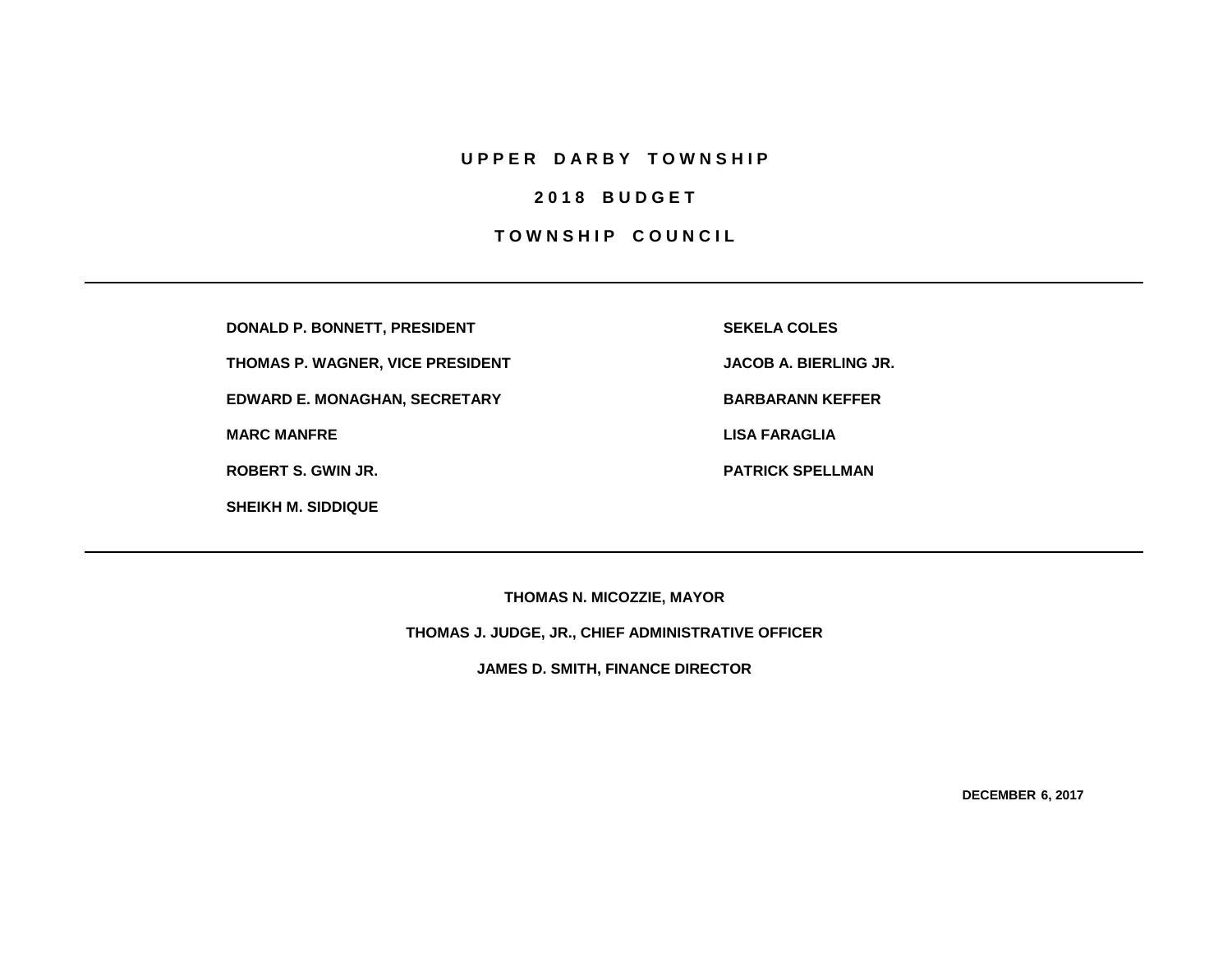## **U P P E R D A R B Y T O W N S H I P**

# **2 0 1 8 B U D G E T**

## **TOWNSHIP COUNCIL**

**DONALD P. BONNETT, PRESIDENT SEKELA COLES**

**THOMAS P. WAGNER, VICE PRESIDENT JACOB A. BIERLING JR.**

**EDWARD E. MONAGHAN, SECRETARY BARBARANN KEFFER** 

**SHEIKH M. SIDDIQUE**

**MARC MANFRE LISA FARAGLIA**

**ROBERT S. GWIN JR. PATRICK SPELLMAN**

**THOMAS N. MICOZZIE, MAYOR**

**THOMAS J. JUDGE, JR., CHIEF ADMINISTRATIVE OFFICER**

**JAMES D. SMITH, FINANCE DIRECTOR**

**DECEMBER 6, 2017**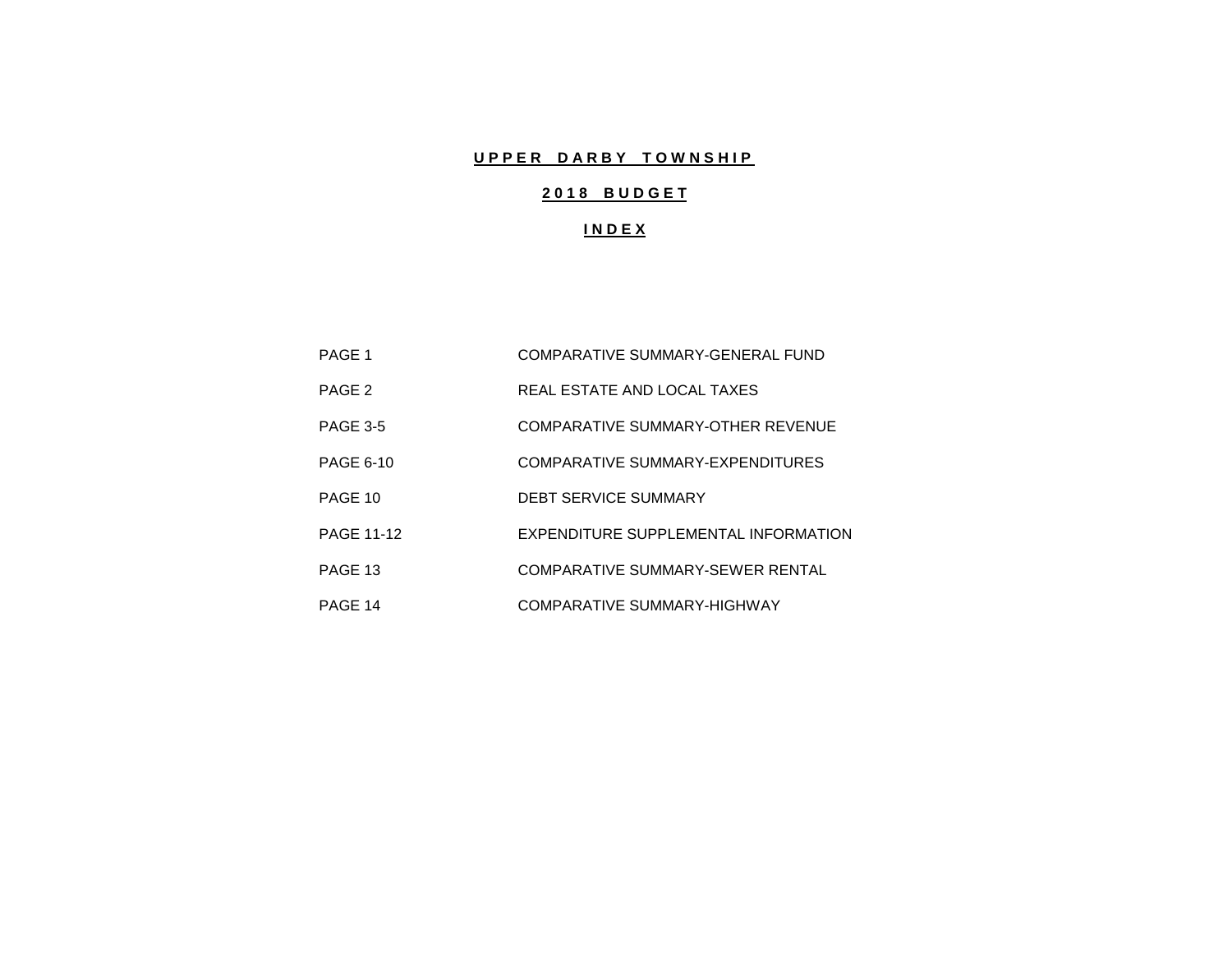# **UPPER DARBY TOWNSHIP**

# **2 0 1 8 B U D G E T**

## **I N D E X**

| PAGE 1            | COMPARATIVE SUMMARY-GENERAL FUND     |
|-------------------|--------------------------------------|
| PAGE 2            | REAL ESTATE AND LOCAL TAXES          |
| <b>PAGE 3-5</b>   | COMPARATIVE SUMMARY-OTHER REVENUE    |
| <b>PAGE 6-10</b>  | COMPARATIVE SUMMARY-EXPENDITURES     |
| PAGE 10           | <b>DEBT SERVICE SUMMARY</b>          |
| <b>PAGE 11-12</b> | EXPENDITURE SUPPLEMENTAL INFORMATION |
| PAGE 13           | COMPARATIVE SUMMARY-SEWER RENTAL     |
| PAGE 14           | COMPARATIVE SUMMARY-HIGHWAY          |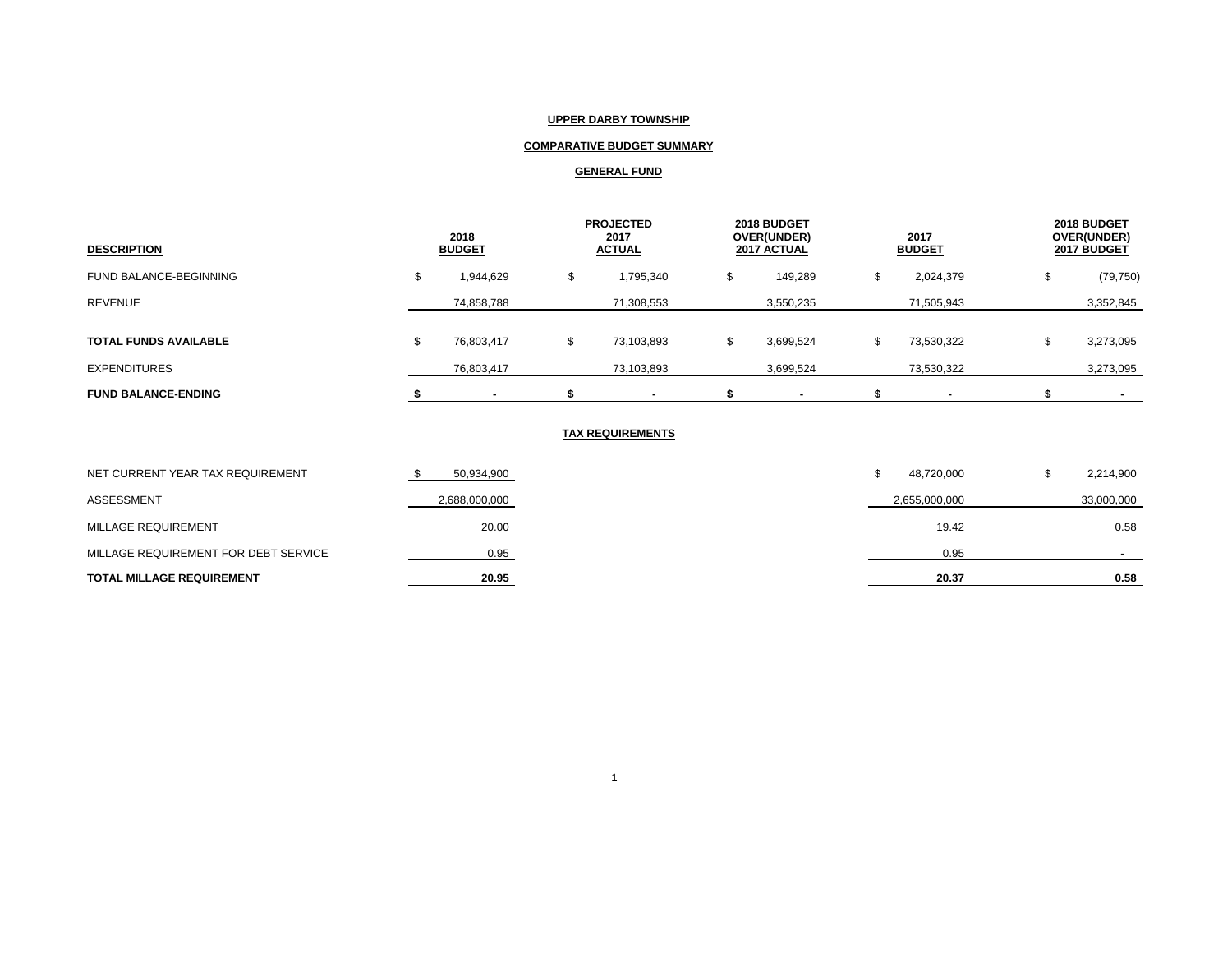## **UPPER DARBY TOWNSHIP**

## **COMPARATIVE BUDGET SUMMARY**

## **GENERAL FUND**

| <b>DESCRIPTION</b>           | 2018<br><b>BUDGET</b> |            |   | <b>PROJECTED</b><br>2017<br><b>ACTUAL</b> |    | 2018 BUDGET<br>OVER(UNDER)<br>2017 ACTUAL |  | 2017<br><b>BUDGET</b>    |    | 2018 BUDGET<br>OVER(UNDER)<br>2017 BUDGET |
|------------------------------|-----------------------|------------|---|-------------------------------------------|----|-------------------------------------------|--|--------------------------|----|-------------------------------------------|
| FUND BALANCE-BEGINNING       |                       | 1,944,629  | J | 1,795,340                                 | ۰D | 149,289                                   |  | 2,024,379                | J. | (79, 750)                                 |
| <b>REVENUE</b>               |                       | 74,858,788 |   | 71,308,553                                |    | 3,550,235                                 |  | 71,505,943               |    | 3,352,845                                 |
| <b>TOTAL FUNDS AVAILABLE</b> | ъ.                    | 76,803,417 | ა | 73,103,893                                |    | 3,699,524                                 |  | 73,530,322               | \$ | 3,273,095                                 |
| <b>EXPENDITURES</b>          |                       | 76,803,417 |   | 73,103,893                                |    | 3,699,524                                 |  | 73,530,322               |    | 3,273,095                                 |
| <b>FUND BALANCE-ENDING</b>   |                       |            |   | ۰                                         |    |                                           |  | $\overline{\phantom{a}}$ |    |                                           |

## **TAX REQUIREMENTS**

| <b>TOTAL MILLAGE REQUIREMENT</b>     | 20.95         | 20.37         | 0.58       |
|--------------------------------------|---------------|---------------|------------|
| MILLAGE REQUIREMENT FOR DEBT SERVICE | 0.95          | 0.95          |            |
| MILLAGE REQUIREMENT                  | 20.00         | 19.42         | 0.58       |
| ASSESSMENT                           | 2,688,000,000 | 2,655,000,000 | 33,000,000 |
| NET CURRENT YEAR TAX REQUIREMENT     | 50,934,900    | 48,720,000    | 2,214,900  |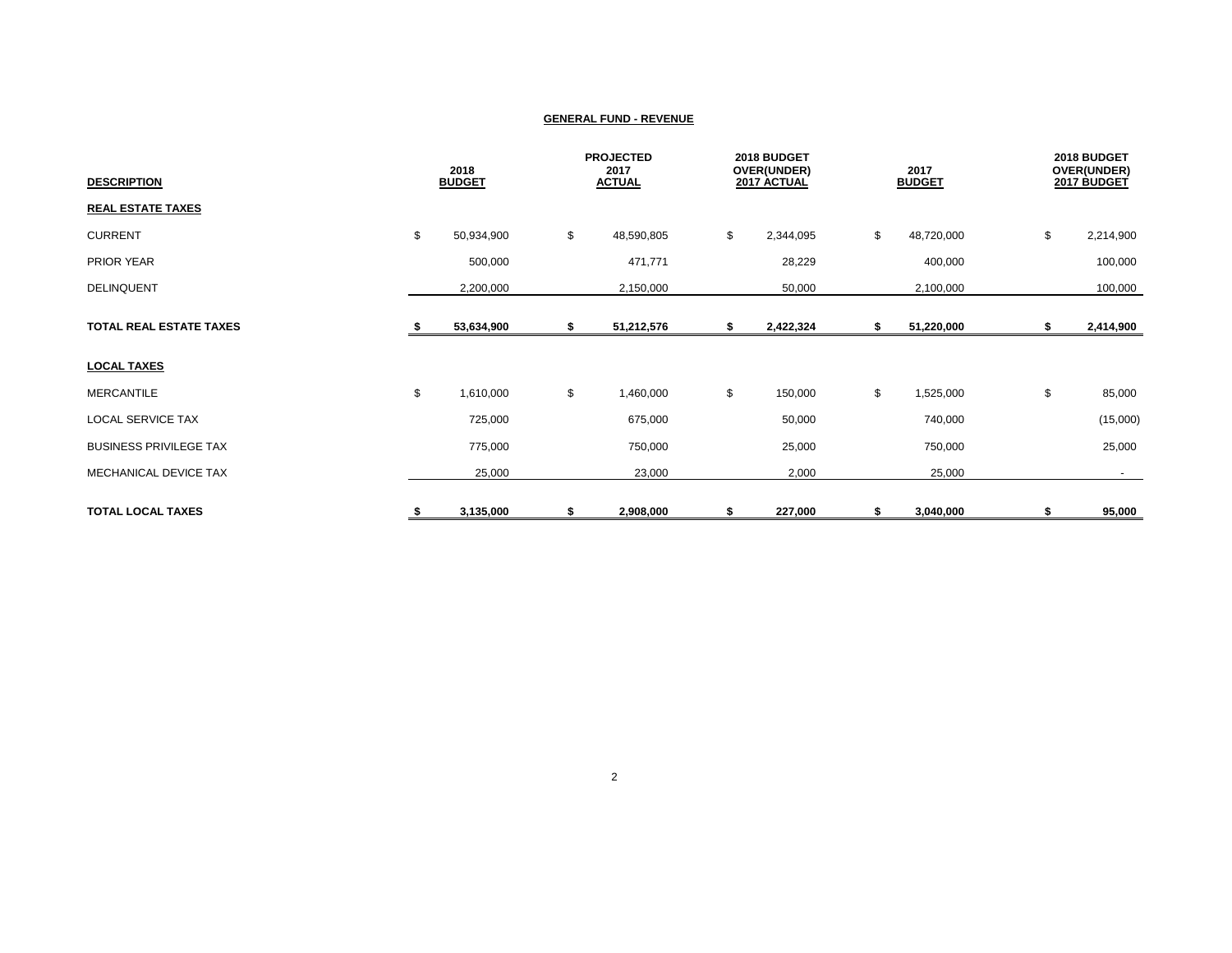| <b>DESCRIPTION</b>             | 2018<br><b>BUDGET</b> |            | <b>PROJECTED</b><br>2017<br><b>ACTUAL</b> |    | 2018 BUDGET<br>OVER(UNDER)<br>2017 ACTUAL |    | 2017<br><b>BUDGET</b> |    | 2018 BUDGET<br>OVER(UNDER)<br>2017 BUDGET |  |
|--------------------------------|-----------------------|------------|-------------------------------------------|----|-------------------------------------------|----|-----------------------|----|-------------------------------------------|--|
| <b>REAL ESTATE TAXES</b>       |                       |            |                                           |    |                                           |    |                       |    |                                           |  |
| <b>CURRENT</b>                 | \$                    | 50,934,900 | \$<br>48,590,805                          | \$ | 2,344,095                                 | \$ | 48,720,000            | \$ | 2,214,900                                 |  |
| PRIOR YEAR                     |                       | 500,000    | 471,771                                   |    | 28,229                                    |    | 400,000               |    | 100,000                                   |  |
| <b>DELINQUENT</b>              |                       | 2,200,000  | 2,150,000                                 |    | 50,000                                    |    | 2,100,000             |    | 100,000                                   |  |
| <b>TOTAL REAL ESTATE TAXES</b> |                       | 53,634,900 | \$<br>51,212,576                          | S  | 2,422,324                                 | \$ | 51,220,000            | \$ | 2,414,900                                 |  |
| <b>LOCAL TAXES</b>             |                       |            |                                           |    |                                           |    |                       |    |                                           |  |
| <b>MERCANTILE</b>              | \$                    | 1,610,000  | \$<br>1,460,000                           | \$ | 150,000                                   | \$ | 1,525,000             | \$ | 85,000                                    |  |
| LOCAL SERVICE TAX              |                       | 725,000    | 675,000                                   |    | 50,000                                    |    | 740,000               |    | (15,000)                                  |  |
| <b>BUSINESS PRIVILEGE TAX</b>  |                       | 775,000    | 750,000                                   |    | 25,000                                    |    | 750,000               |    | 25,000                                    |  |
| MECHANICAL DEVICE TAX          |                       | 25,000     | 23,000                                    |    | 2,000                                     |    | 25,000                |    | $\sim$                                    |  |
| <b>TOTAL LOCAL TAXES</b>       | \$                    | 3,135,000  | \$<br>2,908,000                           | S  | 227,000                                   | s  | 3,040,000             | S  | 95,000                                    |  |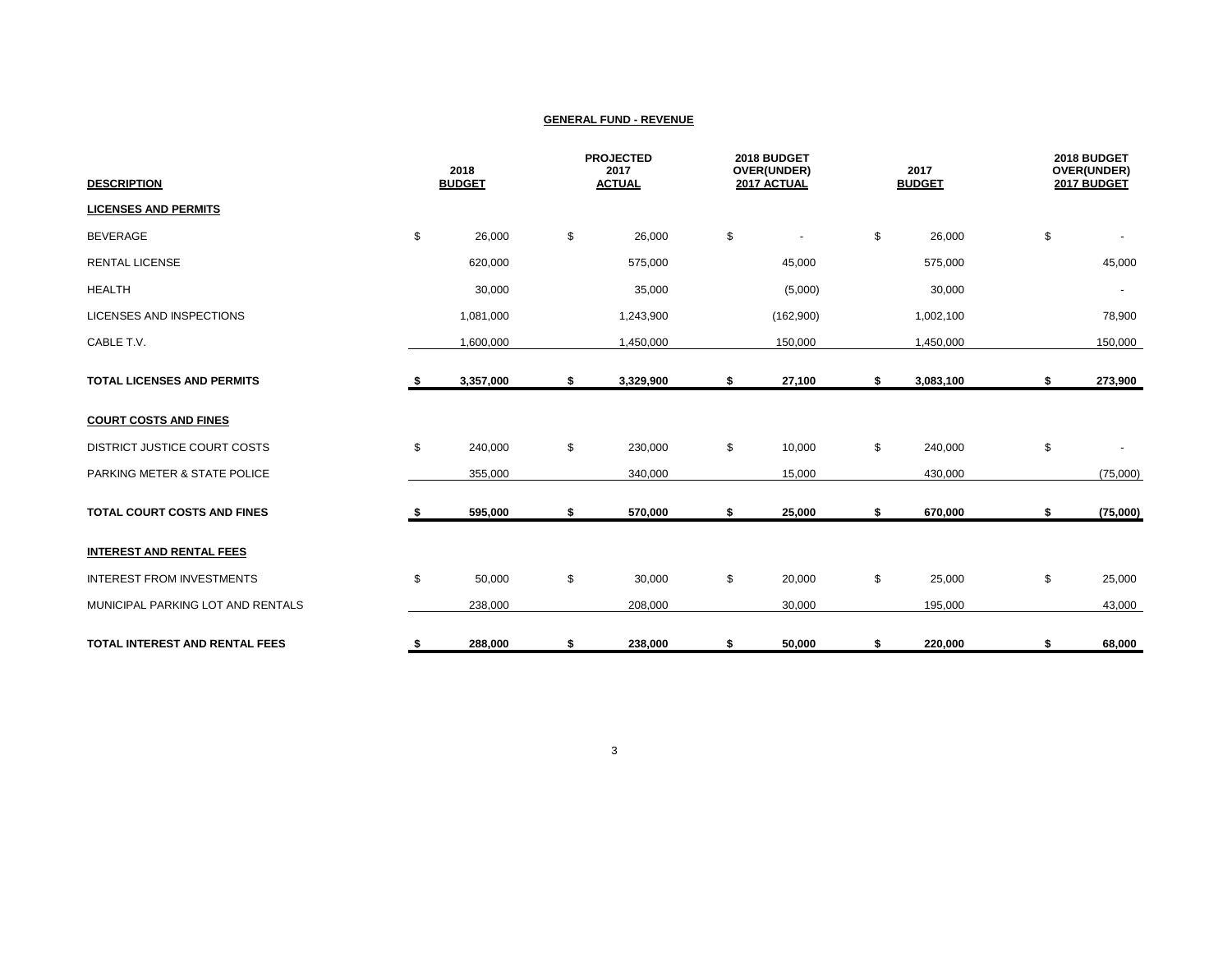| <b>DESCRIPTION</b>                    | 2018<br><b>BUDGET</b> |           | <b>PROJECTED</b><br>2017<br><b>ACTUAL</b> |    | 2018 BUDGET<br>OVER(UNDER)<br>2017 ACTUAL |    | 2017<br><b>BUDGET</b> |    | 2018 BUDGET<br>OVER(UNDER)<br>2017 BUDGET |  |
|---------------------------------------|-----------------------|-----------|-------------------------------------------|----|-------------------------------------------|----|-----------------------|----|-------------------------------------------|--|
| <b>LICENSES AND PERMITS</b>           |                       |           |                                           |    |                                           |    |                       |    |                                           |  |
| <b>BEVERAGE</b>                       | \$                    | 26,000    | \$<br>26,000                              | \$ | $\overline{\phantom{a}}$                  | \$ | 26,000                | \$ |                                           |  |
| <b>RENTAL LICENSE</b>                 |                       | 620,000   | 575,000                                   |    | 45,000                                    |    | 575,000               |    | 45,000                                    |  |
| <b>HEALTH</b>                         |                       | 30,000    | 35,000                                    |    | (5,000)                                   |    | 30,000                |    | ٠                                         |  |
| <b>LICENSES AND INSPECTIONS</b>       |                       | 1,081,000 | 1,243,900                                 |    | (162,900)                                 |    | 1,002,100             |    | 78,900                                    |  |
| CABLE T.V.                            |                       | 1,600,000 | 1,450,000                                 |    | 150,000                                   |    | 1,450,000             |    | 150,000                                   |  |
| <b>TOTAL LICENSES AND PERMITS</b>     | s.                    | 3,357,000 | \$<br>3,329,900                           | \$ | 27,100                                    | \$ | 3,083,100             | \$ | 273,900                                   |  |
| <b>COURT COSTS AND FINES</b>          |                       |           |                                           |    |                                           |    |                       |    |                                           |  |
| <b>DISTRICT JUSTICE COURT COSTS</b>   | \$                    | 240,000   | \$<br>230,000                             | \$ | 10,000                                    | \$ | 240,000               | \$ |                                           |  |
| PARKING METER & STATE POLICE          |                       | 355,000   | 340,000                                   |    | 15,000                                    |    | 430,000               |    | (75,000)                                  |  |
| TOTAL COURT COSTS AND FINES           | \$                    | 595,000   | \$<br>570,000                             | \$ | 25,000                                    | \$ | 670,000               | \$ | (75,000)                                  |  |
| <b>INTEREST AND RENTAL FEES</b>       |                       |           |                                           |    |                                           |    |                       |    |                                           |  |
| <b>INTEREST FROM INVESTMENTS</b>      | \$                    | 50,000    | \$<br>30,000                              | \$ | 20,000                                    | \$ | 25,000                | \$ | 25,000                                    |  |
| MUNICIPAL PARKING LOT AND RENTALS     |                       | 238,000   | 208,000                                   |    | 30,000                                    |    | 195,000               |    | 43,000                                    |  |
| <b>TOTAL INTEREST AND RENTAL FEES</b> | \$                    | 288,000   | \$<br>238,000                             | \$ | 50,000                                    | \$ | 220,000               | \$ | 68,000                                    |  |

3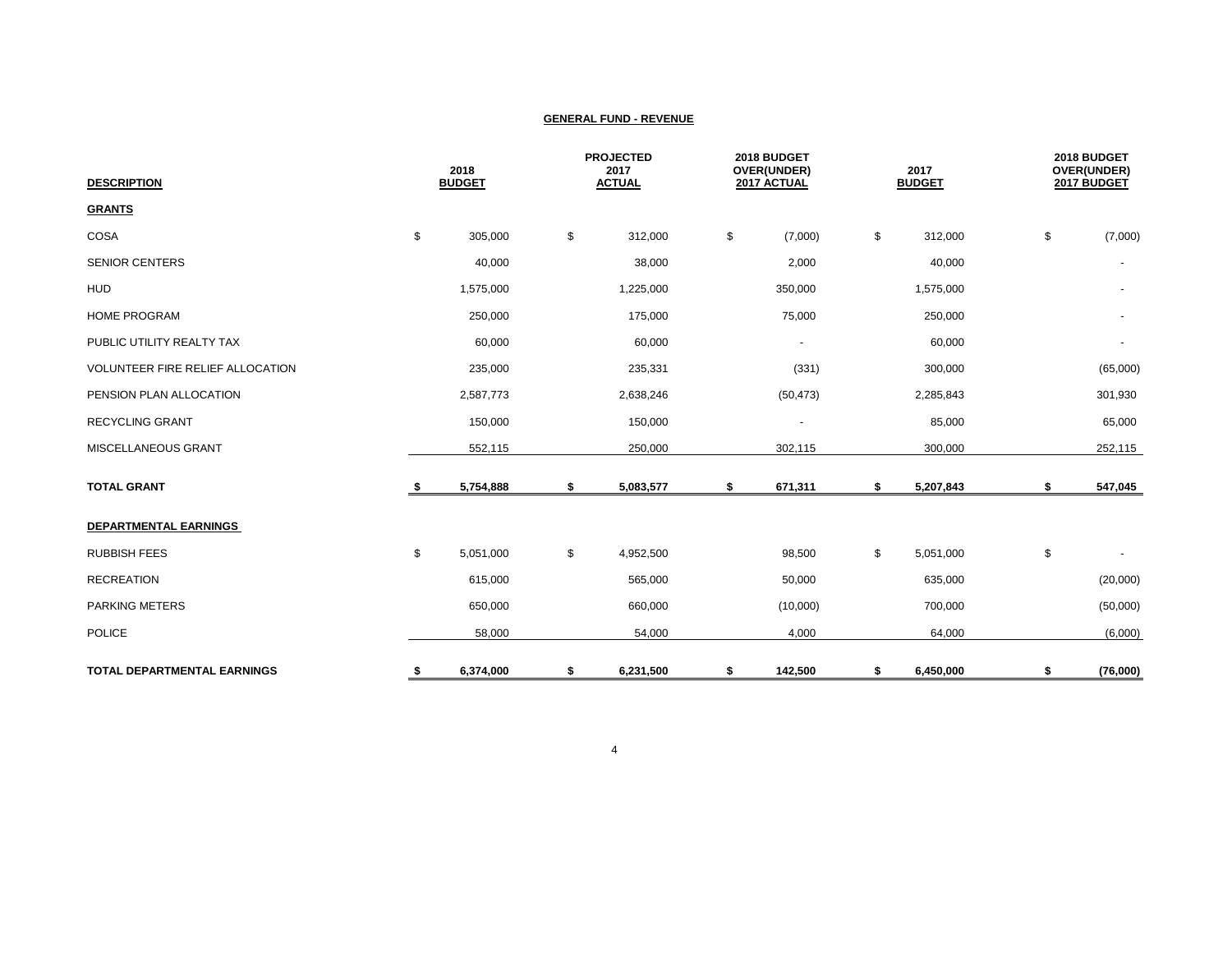| <b>DESCRIPTION</b>                 | 2018<br><b>BUDGET</b> |    | <b>PROJECTED</b><br>2017<br><b>ACTUAL</b> |    | 2018 BUDGET<br>OVER(UNDER)<br>2017 ACTUAL |    | 2017<br><b>BUDGET</b> |    | 2018 BUDGET<br>OVER(UNDER)<br>2017 BUDGET |  |
|------------------------------------|-----------------------|----|-------------------------------------------|----|-------------------------------------------|----|-----------------------|----|-------------------------------------------|--|
| <b>GRANTS</b>                      |                       |    |                                           |    |                                           |    |                       |    |                                           |  |
| COSA                               | \$<br>305,000         | \$ | 312,000                                   | \$ | (7,000)                                   | \$ | 312,000               | \$ | (7,000)                                   |  |
| <b>SENIOR CENTERS</b>              | 40,000                |    | 38,000                                    |    | 2,000                                     |    | 40,000                |    |                                           |  |
| <b>HUD</b>                         | 1,575,000             |    | 1,225,000                                 |    | 350,000                                   |    | 1,575,000             |    | $\overline{\phantom{a}}$                  |  |
| <b>HOME PROGRAM</b>                | 250,000               |    | 175,000                                   |    | 75,000                                    |    | 250,000               |    | $\sim$                                    |  |
| PUBLIC UTILITY REALTY TAX          | 60,000                |    | 60,000                                    |    | $\overline{\phantom{a}}$                  |    | 60,000                |    | $\blacksquare$                            |  |
| VOLUNTEER FIRE RELIEF ALLOCATION   | 235,000               |    | 235,331                                   |    | (331)                                     |    | 300,000               |    | (65,000)                                  |  |
| PENSION PLAN ALLOCATION            | 2,587,773             |    | 2,638,246                                 |    | (50, 473)                                 |    | 2,285,843             |    | 301,930                                   |  |
| <b>RECYCLING GRANT</b>             | 150,000               |    | 150,000                                   |    | $\overline{\phantom{a}}$                  |    | 85,000                |    | 65,000                                    |  |
| MISCELLANEOUS GRANT                | 552,115               |    | 250,000                                   |    | 302,115                                   |    | 300,000               |    | 252,115                                   |  |
| <b>TOTAL GRANT</b>                 | \$<br>5,754,888       | \$ | 5,083,577                                 | \$ | 671,311                                   | \$ | 5,207,843             | \$ | 547,045                                   |  |
| <b>DEPARTMENTAL EARNINGS</b>       |                       |    |                                           |    |                                           |    |                       |    |                                           |  |
| <b>RUBBISH FEES</b>                | \$<br>5,051,000       | \$ | 4,952,500                                 |    | 98,500                                    | \$ | 5,051,000             | \$ |                                           |  |
| <b>RECREATION</b>                  | 615,000               |    | 565,000                                   |    | 50,000                                    |    | 635,000               |    | (20,000)                                  |  |
| <b>PARKING METERS</b>              | 650,000               |    | 660,000                                   |    | (10,000)                                  |    | 700,000               |    | (50,000)                                  |  |
| <b>POLICE</b>                      | 58,000                |    | 54,000                                    |    | 4,000                                     |    | 64,000                |    | (6,000)                                   |  |
| <b>TOTAL DEPARTMENTAL EARNINGS</b> | \$<br>6,374,000       | \$ | 6,231,500                                 | \$ | 142,500                                   | \$ | 6,450,000             | \$ | (76,000)                                  |  |

4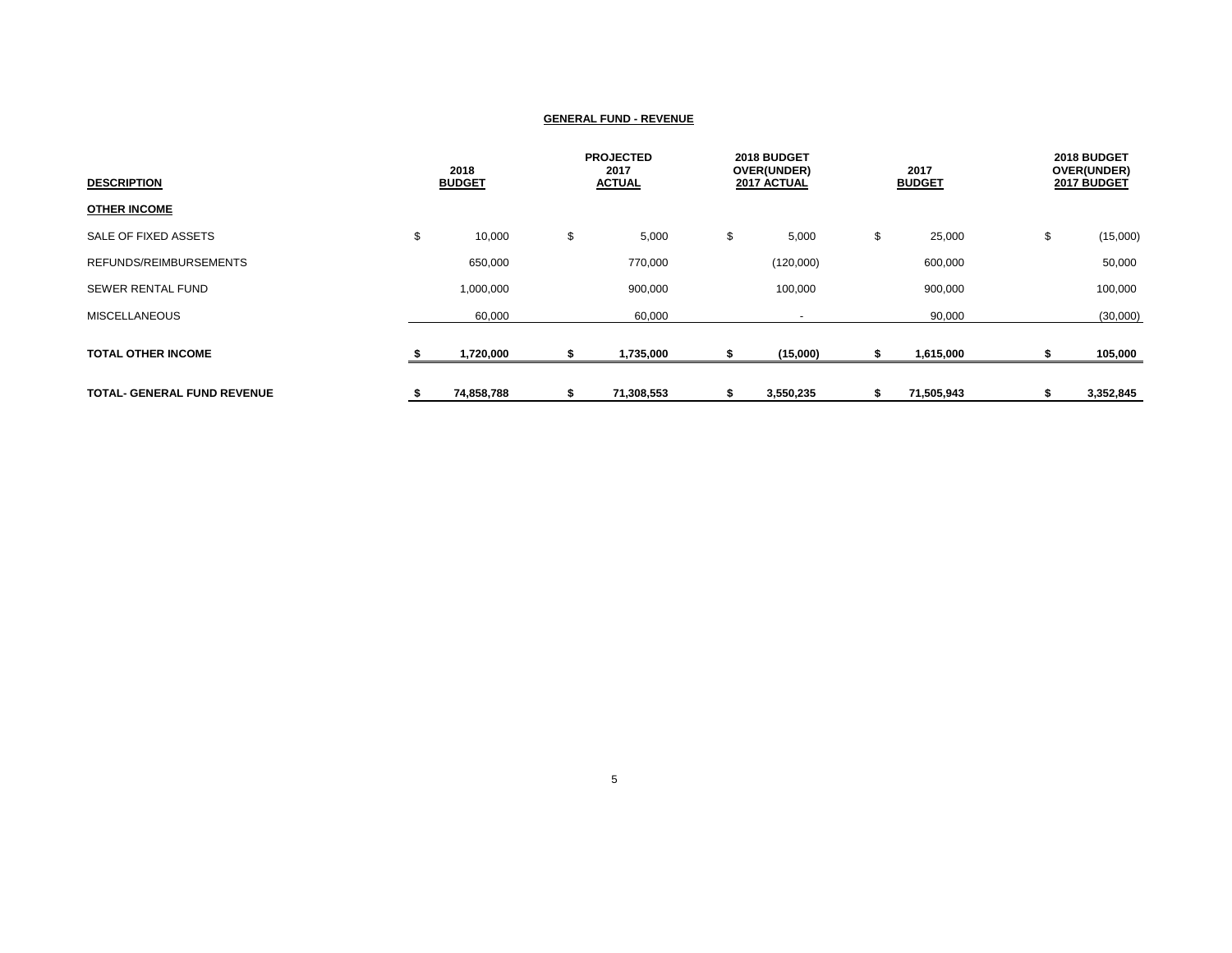| <b>DESCRIPTION</b>                 | 2018<br><b>BUDGET</b> |     | <b>PROJECTED</b><br>2017<br><b>ACTUAL</b> |    | 2018 BUDGET<br>OVER(UNDER)<br>2017 ACTUAL |    | 2017<br><b>BUDGET</b> |    | 2018 BUDGET<br>OVER(UNDER)<br>2017 BUDGET |
|------------------------------------|-----------------------|-----|-------------------------------------------|----|-------------------------------------------|----|-----------------------|----|-------------------------------------------|
| <b>OTHER INCOME</b>                |                       |     |                                           |    |                                           |    |                       |    |                                           |
| SALE OF FIXED ASSETS               | \$<br>10,000          | \$  | 5,000                                     | \$ | 5,000                                     | \$ | 25,000                | \$ | (15,000)                                  |
| REFUNDS/REIMBURSEMENTS             | 650,000               |     | 770,000                                   |    | (120,000)                                 |    | 600,000               |    | 50,000                                    |
| <b>SEWER RENTAL FUND</b>           | 1,000,000             |     | 900,000                                   |    | 100,000                                   |    | 900,000               |    | 100,000                                   |
| <b>MISCELLANEOUS</b>               | 60,000                |     | 60,000                                    |    |                                           |    | 90,000                |    | (30,000)                                  |
| <b>TOTAL OTHER INCOME</b>          | 1,720,000             |     | 1,735,000                                 |    | (15,000)                                  |    | 1,615,000             |    | 105,000                                   |
| <b>TOTAL- GENERAL FUND REVENUE</b> | 74,858,788            | -55 | 71,308,553                                |    | 3,550,235                                 |    | 71,505,943            |    | 3,352,845                                 |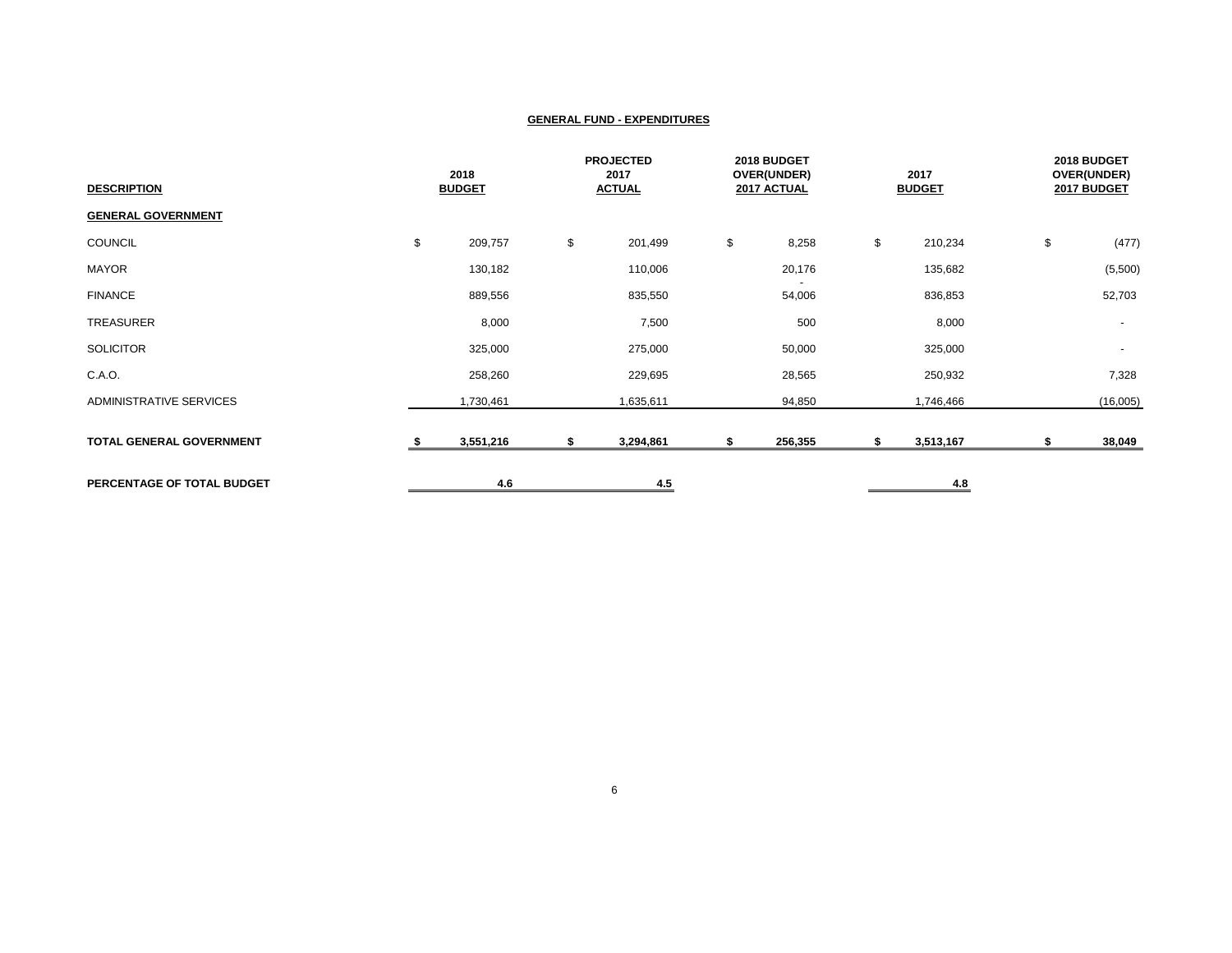| <b>DESCRIPTION</b>              | 2018<br><b>BUDGET</b> |    | <b>PROJECTED</b><br>2017<br><b>ACTUAL</b> |    | 2018 BUDGET<br>OVER(UNDER)<br>2017 ACTUAL |    | 2017<br><b>BUDGET</b> |    | 2018 BUDGET<br>OVER(UNDER)<br>2017 BUDGET |  |
|---------------------------------|-----------------------|----|-------------------------------------------|----|-------------------------------------------|----|-----------------------|----|-------------------------------------------|--|
| <b>GENERAL GOVERNMENT</b>       |                       |    |                                           |    |                                           |    |                       |    |                                           |  |
| COUNCIL                         | \$<br>209,757         | \$ | 201,499                                   | \$ | 8,258                                     | \$ | 210,234               | \$ | (477)                                     |  |
| <b>MAYOR</b>                    | 130,182               |    | 110,006                                   |    | 20,176                                    |    | 135,682               |    | (5,500)                                   |  |
| <b>FINANCE</b>                  | 889,556               |    | 835,550                                   |    | 54,006                                    |    | 836,853               |    | 52,703                                    |  |
| TREASURER                       | 8,000                 |    | 7,500                                     |    | 500                                       |    | 8,000                 |    | $\sim$                                    |  |
| <b>SOLICITOR</b>                | 325,000               |    | 275,000                                   |    | 50,000                                    |    | 325,000               |    | $\sim$                                    |  |
| C.A.O.                          | 258,260               |    | 229,695                                   |    | 28,565                                    |    | 250,932               |    | 7,328                                     |  |
| ADMINISTRATIVE SERVICES         | 1,730,461             |    | 1,635,611                                 |    | 94,850                                    |    | 1,746,466             |    | (16,005)                                  |  |
| <b>TOTAL GENERAL GOVERNMENT</b> | 3,551,216             | \$ | 3,294,861                                 |    | 256,355                                   | s. | 3,513,167             | ъ  | 38,049                                    |  |
| PERCENTAGE OF TOTAL BUDGET      | 4.6                   |    | 4.5                                       |    |                                           |    | 4.8                   |    |                                           |  |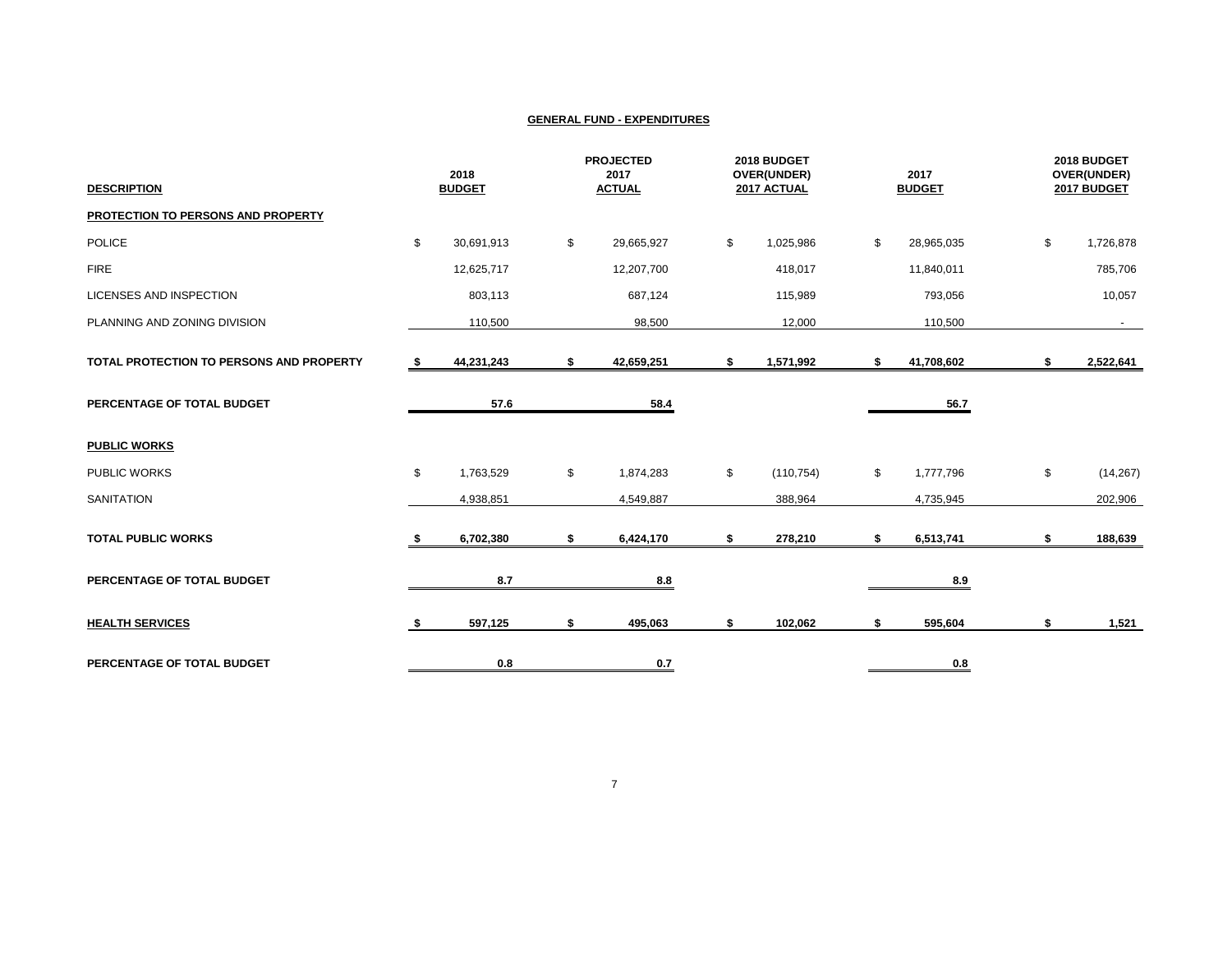| <b>DESCRIPTION</b>                       |      | 2018<br><b>BUDGET</b> | <b>PROJECTED</b><br>2017<br><b>ACTUAL</b> | 2018 BUDGET<br>OVER(UNDER)<br>2017 ACTUAL | 2017<br><b>BUDGET</b> | 2018 BUDGET<br>OVER(UNDER)<br>2017 BUDGET |
|------------------------------------------|------|-----------------------|-------------------------------------------|-------------------------------------------|-----------------------|-------------------------------------------|
| PROTECTION TO PERSONS AND PROPERTY       |      |                       |                                           |                                           |                       |                                           |
| <b>POLICE</b>                            | \$   | 30,691,913            | \$<br>29,665,927                          | \$<br>1,025,986                           | \$<br>28,965,035      | \$<br>1,726,878                           |
| <b>FIRE</b>                              |      | 12,625,717            | 12,207,700                                | 418,017                                   | 11,840,011            | 785,706                                   |
| <b>LICENSES AND INSPECTION</b>           |      | 803,113               | 687,124                                   | 115,989                                   | 793,056               | 10,057                                    |
| PLANNING AND ZONING DIVISION             |      | 110,500               | 98,500                                    | 12,000                                    | 110,500               | $\sim$                                    |
| TOTAL PROTECTION TO PERSONS AND PROPERTY | - \$ | 44,231,243            | \$<br>42,659,251                          | \$<br>1,571,992                           | \$<br>41,708,602      | \$<br>2,522,641                           |
| PERCENTAGE OF TOTAL BUDGET               |      | 57.6                  | 58.4                                      |                                           | 56.7                  |                                           |
| <b>PUBLIC WORKS</b>                      |      |                       |                                           |                                           |                       |                                           |
| PUBLIC WORKS                             | \$   | 1,763,529             | \$<br>1,874,283                           | \$<br>(110, 754)                          | \$<br>1,777,796       | \$<br>(14, 267)                           |
| <b>SANITATION</b>                        |      | 4,938,851             | 4,549,887                                 | 388,964                                   | 4,735,945             | 202,906                                   |
| <b>TOTAL PUBLIC WORKS</b>                |      | 6,702,380             | \$<br>6,424,170                           | \$<br>278,210                             | \$<br>6,513,741       | \$<br>188,639                             |
| PERCENTAGE OF TOTAL BUDGET               |      | 8.7                   | 8.8                                       |                                           | 8.9                   |                                           |
| <b>HEALTH SERVICES</b>                   |      | 597,125               | \$<br>495,063                             | \$<br>102,062                             | \$<br>595,604         | \$<br>1,521                               |
| PERCENTAGE OF TOTAL BUDGET               |      | 0.8                   | 0.7                                       |                                           | 0.8                   |                                           |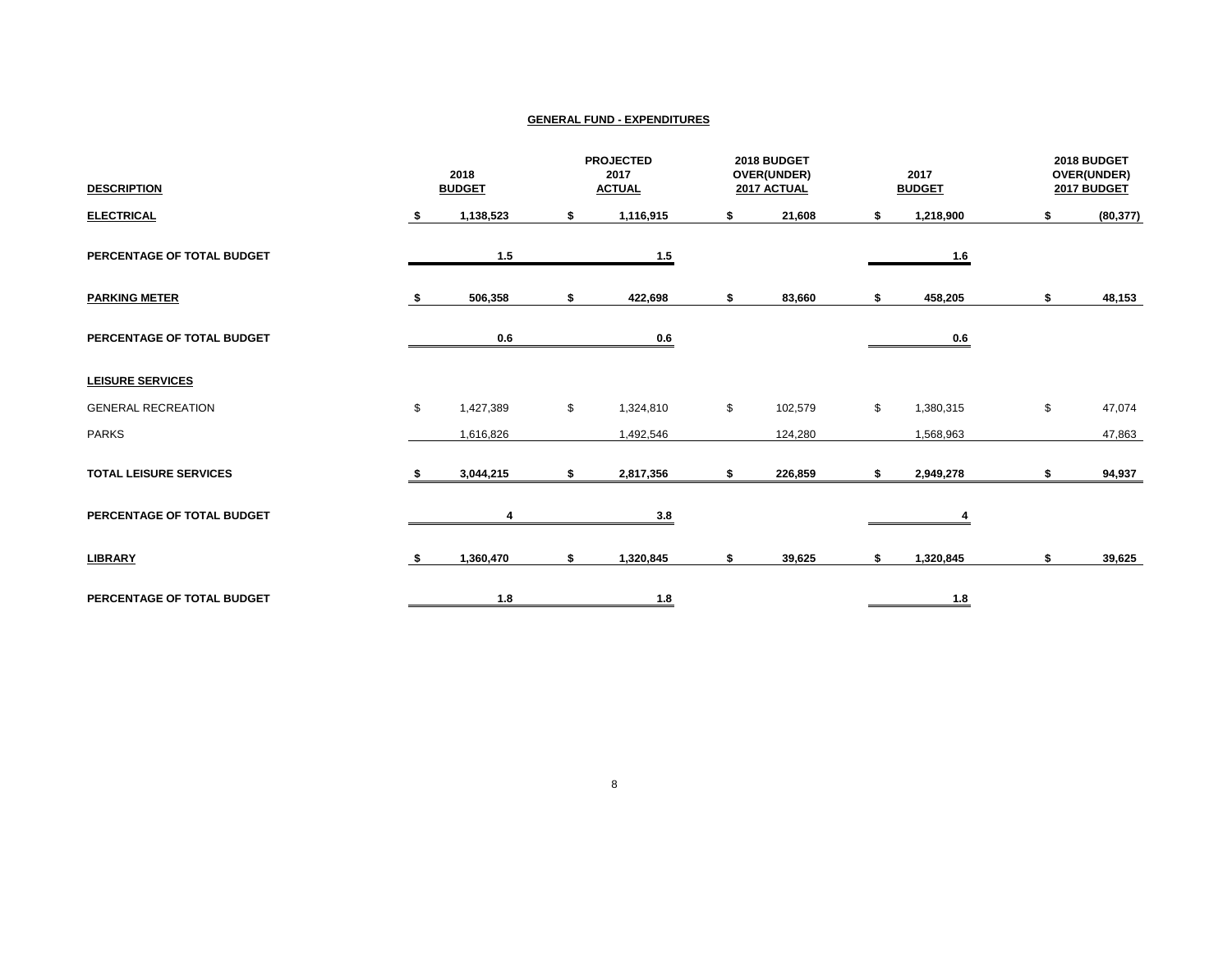| <b>DESCRIPTION</b>            | 2018<br><b>BUDGET</b> |           | <b>PROJECTED</b><br>2017<br><b>ACTUAL</b> |                            | 2018 BUDGET<br>OVER(UNDER)<br>2017 ACTUAL |         |    | 2017<br><b>BUDGET</b>      | 2018 BUDGET<br>OVER(UNDER)<br>2017 BUDGET |           |
|-------------------------------|-----------------------|-----------|-------------------------------------------|----------------------------|-------------------------------------------|---------|----|----------------------------|-------------------------------------------|-----------|
| <b>ELECTRICAL</b>             |                       | 1,138,523 | \$                                        | 1,116,915                  | \$                                        | 21,608  |    | 1,218,900                  |                                           | (80, 377) |
| PERCENTAGE OF TOTAL BUDGET    |                       | 1.5       |                                           | 1.5                        |                                           |         |    | $\underline{\mathbf{1.6}}$ |                                           |           |
| <b>PARKING METER</b>          |                       | 506,358   | \$                                        | 422,698                    | \$                                        | 83,660  | S  | 458,205                    | \$                                        | 48,153    |
| PERCENTAGE OF TOTAL BUDGET    |                       | 0.6       |                                           | 0.6                        |                                           |         |    | 0.6                        |                                           |           |
| <b>LEISURE SERVICES</b>       |                       |           |                                           |                            |                                           |         |    |                            |                                           |           |
| <b>GENERAL RECREATION</b>     | \$                    | 1,427,389 | \$                                        | 1,324,810                  | \$                                        | 102,579 | \$ | 1,380,315                  | \$                                        | 47,074    |
| <b>PARKS</b>                  |                       | 1,616,826 |                                           | 1,492,546                  |                                           | 124,280 |    | 1,568,963                  |                                           | 47,863    |
| <b>TOTAL LEISURE SERVICES</b> |                       | 3,044,215 | \$                                        | 2,817,356                  | \$                                        | 226,859 | \$ | 2,949,278                  | \$                                        | 94,937    |
| PERCENTAGE OF TOTAL BUDGET    |                       | 4         |                                           | 3.8                        |                                           |         |    |                            |                                           |           |
| <b>LIBRARY</b>                |                       | 1,360,470 | \$                                        | 1,320,845                  | \$                                        | 39,625  | \$ | 1,320,845                  | \$                                        | 39,625    |
| PERCENTAGE OF TOTAL BUDGET    |                       | 1.8       |                                           | $\underline{\mathbf{1.8}}$ |                                           |         |    | $\underline{\mathbf{1.8}}$ |                                           |           |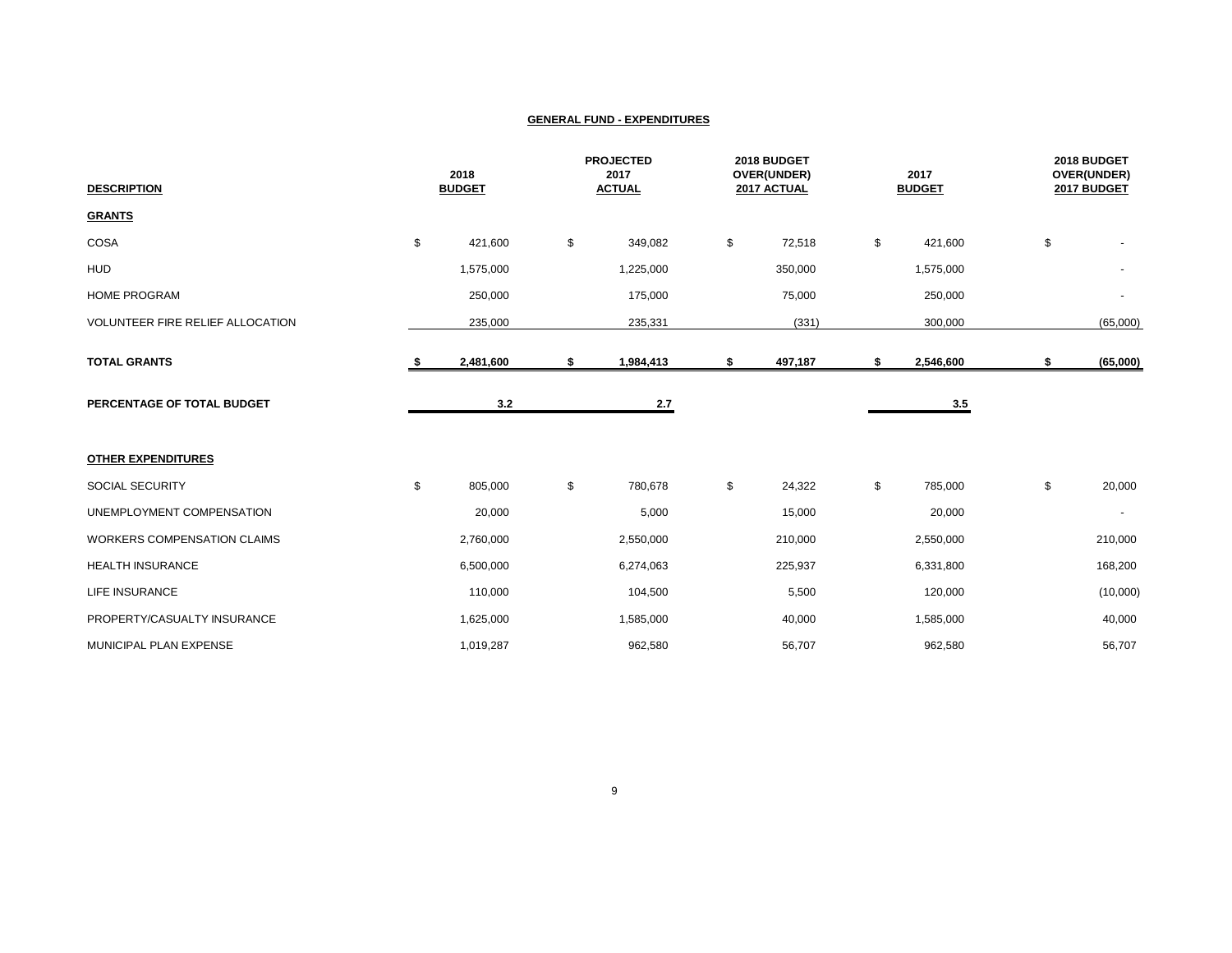| <b>DESCRIPTION</b>                 | 2018<br><b>BUDGET</b> |           |                           | <b>PROJECTED</b><br>2017<br><b>ACTUAL</b> |    | 2018 BUDGET<br>OVER(UNDER)<br>2017 ACTUAL |    | 2017<br><b>BUDGET</b> |    | 2018 BUDGET<br>OVER(UNDER)<br>2017 BUDGET |  |
|------------------------------------|-----------------------|-----------|---------------------------|-------------------------------------------|----|-------------------------------------------|----|-----------------------|----|-------------------------------------------|--|
| <b>GRANTS</b>                      |                       |           |                           |                                           |    |                                           |    |                       |    |                                           |  |
| COSA                               | \$                    | 421,600   | \$                        | 349,082                                   | \$ | 72,518                                    | \$ | 421,600               | \$ |                                           |  |
| <b>HUD</b>                         |                       | 1,575,000 |                           | 1,225,000                                 |    | 350,000                                   |    | 1,575,000             |    |                                           |  |
| <b>HOME PROGRAM</b>                |                       | 250,000   |                           | 175,000                                   |    | 75,000                                    |    | 250,000               |    |                                           |  |
| VOLUNTEER FIRE RELIEF ALLOCATION   |                       | 235,000   |                           | 235,331                                   |    | (331)                                     |    | 300,000               |    | (65,000)                                  |  |
| <b>TOTAL GRANTS</b>                | s.                    | 2,481,600 | \$                        | 1,984,413                                 | \$ | 497,187                                   | \$ | 2,546,600             | \$ | (65,000)                                  |  |
| PERCENTAGE OF TOTAL BUDGET         |                       | 3.2       |                           | 2.7                                       |    |                                           |    | 3.5                   |    |                                           |  |
| <b>OTHER EXPENDITURES</b>          |                       |           |                           |                                           |    |                                           |    |                       |    |                                           |  |
| SOCIAL SECURITY                    | \$                    | 805,000   | $\boldsymbol{\mathsf{S}}$ | 780,678                                   | \$ | 24,322                                    | \$ | 785,000               | \$ | 20,000                                    |  |
| UNEMPLOYMENT COMPENSATION          |                       | 20,000    |                           | 5,000                                     |    | 15,000                                    |    | 20,000                |    |                                           |  |
| <b>WORKERS COMPENSATION CLAIMS</b> |                       | 2,760,000 |                           | 2,550,000                                 |    | 210,000                                   |    | 2,550,000             |    | 210,000                                   |  |
| <b>HEALTH INSURANCE</b>            |                       | 6,500,000 |                           | 6,274,063                                 |    | 225,937                                   |    | 6,331,800             |    | 168,200                                   |  |
| LIFE INSURANCE                     |                       | 110,000   |                           | 104,500                                   |    | 5,500                                     |    | 120,000               |    | (10,000)                                  |  |
| PROPERTY/CASUALTY INSURANCE        |                       | 1,625,000 |                           | 1,585,000                                 |    | 40,000                                    |    | 1,585,000             |    | 40,000                                    |  |
| MUNICIPAL PLAN EXPENSE             |                       | 1,019,287 |                           | 962,580                                   |    | 56,707                                    |    | 962,580               |    | 56,707                                    |  |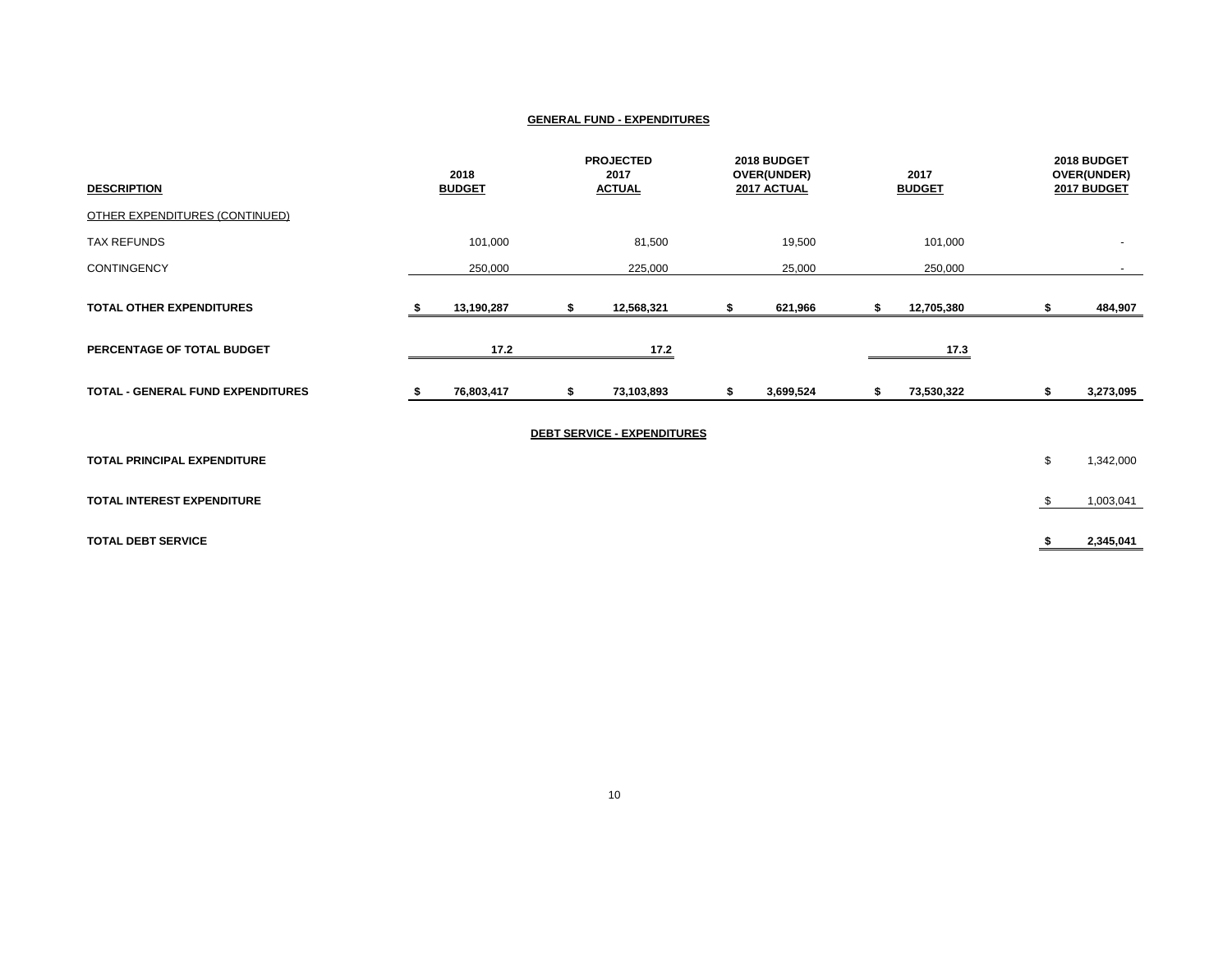| <b>DESCRIPTION</b>                 | 2018<br><b>BUDGET</b> |    | <b>PROJECTED</b><br>2017<br><b>ACTUAL</b> | 2018 BUDGET<br>OVER(UNDER)<br>2017 ACTUAL |   | 2017<br><b>BUDGET</b> |     | 2018 BUDGET<br>OVER(UNDER)<br>2017 BUDGET |
|------------------------------------|-----------------------|----|-------------------------------------------|-------------------------------------------|---|-----------------------|-----|-------------------------------------------|
| OTHER EXPENDITURES (CONTINUED)     |                       |    |                                           |                                           |   |                       |     |                                           |
| <b>TAX REFUNDS</b>                 | 101,000               |    | 81,500                                    | 19,500                                    |   | 101,000               |     |                                           |
| <b>CONTINGENCY</b>                 | 250,000               |    | 225,000                                   | 25,000                                    |   | 250,000               |     |                                           |
| <b>TOTAL OTHER EXPENDITURES</b>    | 13,190,287            | S  | 12,568,321                                | 621,966                                   |   | 12,705,380            |     | 484,907                                   |
| PERCENTAGE OF TOTAL BUDGET         | 17.2                  |    | 17.2                                      |                                           |   | 17.3                  |     |                                           |
| TOTAL - GENERAL FUND EXPENDITURES  | 76,803,417            | \$ | 73,103,893                                | 3,699,524                                 | S | 73,530,322            | S   | 3,273,095                                 |
|                                    |                       |    | <b>DEBT SERVICE - EXPENDITURES</b>        |                                           |   |                       |     |                                           |
| <b>TOTAL PRINCIPAL EXPENDITURE</b> |                       |    |                                           |                                           |   |                       | \$  | 1,342,000                                 |
| TOTAL INTEREST EXPENDITURE         |                       |    |                                           |                                           |   |                       | -\$ | 1,003,041                                 |
| <b>TOTAL DEBT SERVICE</b>          |                       |    |                                           |                                           |   |                       | S.  | 2,345,041                                 |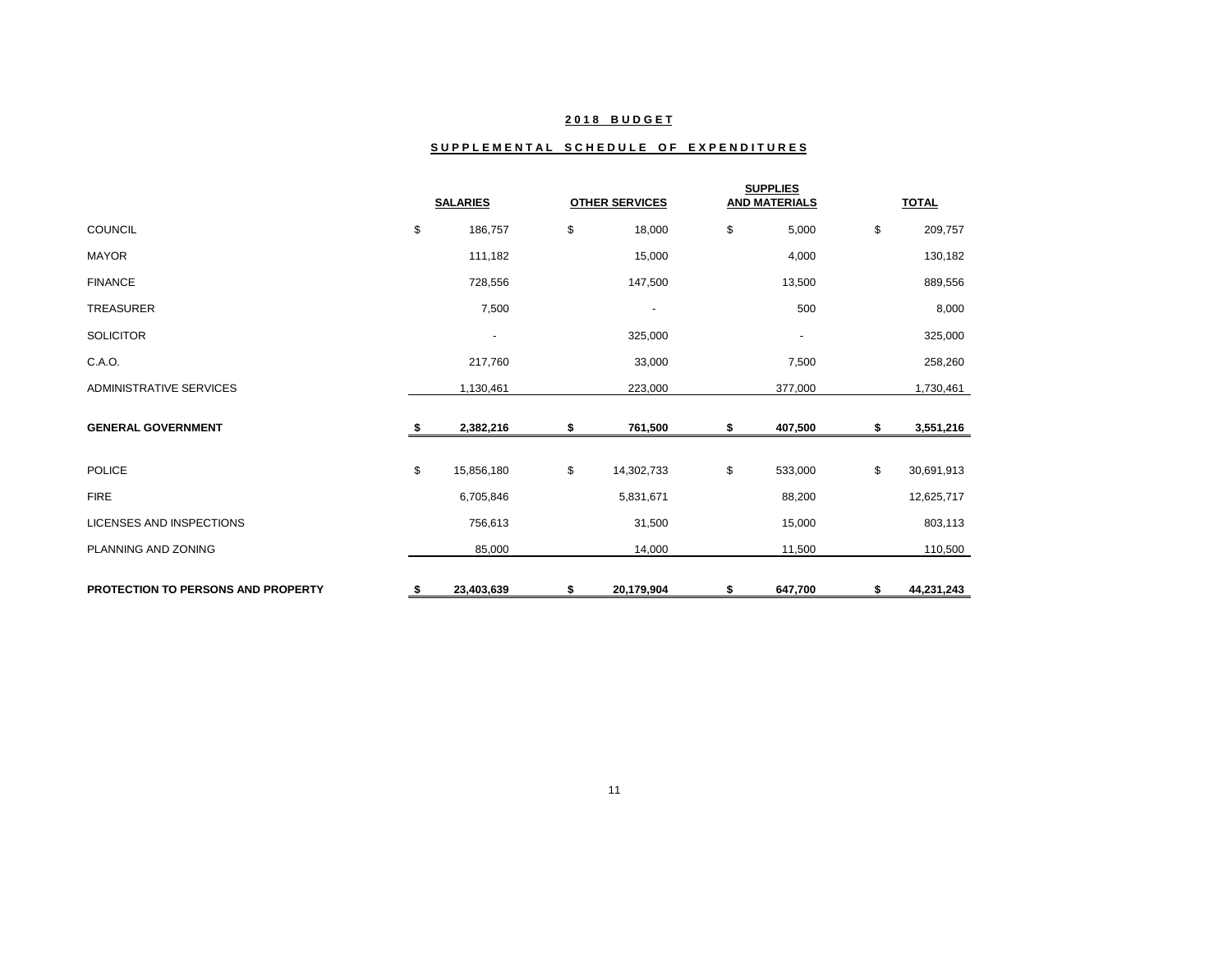## **2 0 1 8 B U D G E T**

## SUPPLEMENTAL SCHEDULE OF EXPENDITURES

|                                           | <b>SALARIES</b> |                          |    | <b>OTHER SERVICES</b>    | <b>SUPPLIES</b><br><b>AND MATERIALS</b> |                          |    | <b>TOTAL</b> |
|-------------------------------------------|-----------------|--------------------------|----|--------------------------|-----------------------------------------|--------------------------|----|--------------|
| <b>COUNCIL</b>                            | \$              | 186,757                  | \$ | 18,000                   | \$                                      | 5,000                    | \$ | 209,757      |
| <b>MAYOR</b>                              |                 | 111,182                  |    | 15,000                   |                                         | 4,000                    |    | 130,182      |
| <b>FINANCE</b>                            |                 | 728,556                  |    | 147,500                  |                                         | 13,500                   |    | 889,556      |
| <b>TREASURER</b>                          |                 | 7,500                    |    | $\overline{\phantom{a}}$ |                                         | 500                      |    | 8,000        |
| <b>SOLICITOR</b>                          |                 | $\overline{\phantom{a}}$ |    | 325,000                  |                                         | $\overline{\phantom{a}}$ |    | 325,000      |
| C.A.O.                                    |                 | 217,760                  |    | 33,000                   |                                         | 7,500                    |    | 258,260      |
| <b>ADMINISTRATIVE SERVICES</b>            |                 | 1,130,461                |    | 223,000                  |                                         | 377,000                  |    | 1,730,461    |
| <b>GENERAL GOVERNMENT</b>                 |                 | 2,382,216                | S  | 761,500                  | \$                                      | 407,500                  | S  | 3,551,216    |
| <b>POLICE</b>                             | \$              | 15,856,180               | \$ | 14,302,733               | \$                                      | 533,000                  | \$ | 30,691,913   |
| <b>FIRE</b>                               |                 | 6,705,846                |    | 5,831,671                |                                         | 88,200                   |    | 12,625,717   |
| <b>LICENSES AND INSPECTIONS</b>           |                 | 756,613                  |    | 31,500                   |                                         | 15,000                   |    | 803,113      |
| PLANNING AND ZONING                       |                 | 85,000                   |    | 14,000                   |                                         | 11,500                   |    | 110,500      |
| <b>PROTECTION TO PERSONS AND PROPERTY</b> | S.              | 23,403,639               | \$ | 20,179,904               | \$                                      | 647,700                  | \$ | 44,231,243   |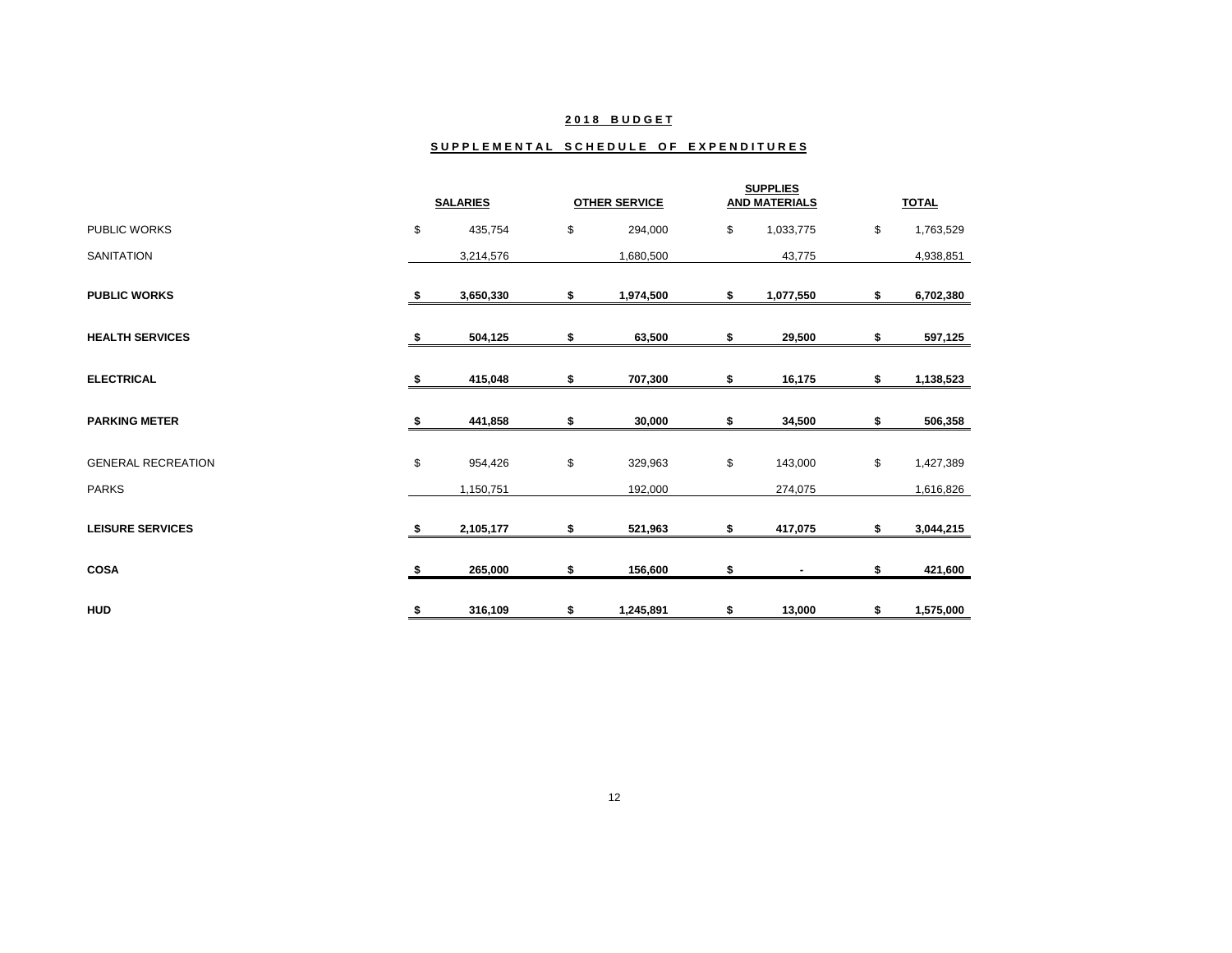## **2 0 1 8 B U D G E T**

#### SUPPLEMENTAL SCHEDULE OF EXPENDITURES

|                           |     | <b>SALARIES</b> | <b>OTHER SERVICE</b> |           | <b>SUPPLIES</b><br><b>AND MATERIALS</b> |           | <b>TOTAL</b>    |
|---------------------------|-----|-----------------|----------------------|-----------|-----------------------------------------|-----------|-----------------|
| <b>PUBLIC WORKS</b>       | \$  | 435,754         | \$                   | 294,000   | \$                                      | 1,033,775 | \$<br>1,763,529 |
| <b>SANITATION</b>         |     | 3,214,576       |                      | 1,680,500 |                                         | 43,775    | 4,938,851       |
| <b>PUBLIC WORKS</b>       | \$  | 3,650,330       | \$                   | 1,974,500 | \$                                      | 1,077,550 | \$<br>6,702,380 |
| <b>HEALTH SERVICES</b>    | -\$ | 504,125         | \$                   | 63,500    | \$                                      | 29,500    | \$<br>597,125   |
| <b>ELECTRICAL</b>         | S   | 415,048         | \$                   | 707,300   | \$                                      | 16,175    | \$<br>1,138,523 |
| <b>PARKING METER</b>      | S.  | 441,858         | \$                   | 30,000    | \$                                      | 34,500    | \$<br>506,358   |
| <b>GENERAL RECREATION</b> | \$  | 954,426         | \$                   | 329,963   | \$                                      | 143,000   | \$<br>1,427,389 |
| <b>PARKS</b>              |     | 1,150,751       |                      | 192,000   |                                         | 274,075   | 1,616,826       |
| <b>LEISURE SERVICES</b>   | \$  | 2,105,177       | \$                   | 521,963   | \$                                      | 417,075   | \$<br>3,044,215 |
| <b>COSA</b>               | \$  | 265,000         | S                    | 156,600   | \$                                      |           | \$<br>421,600   |
| <b>HUD</b>                | \$  | 316,109         | \$                   | 1,245,891 | \$                                      | 13,000    | \$<br>1,575,000 |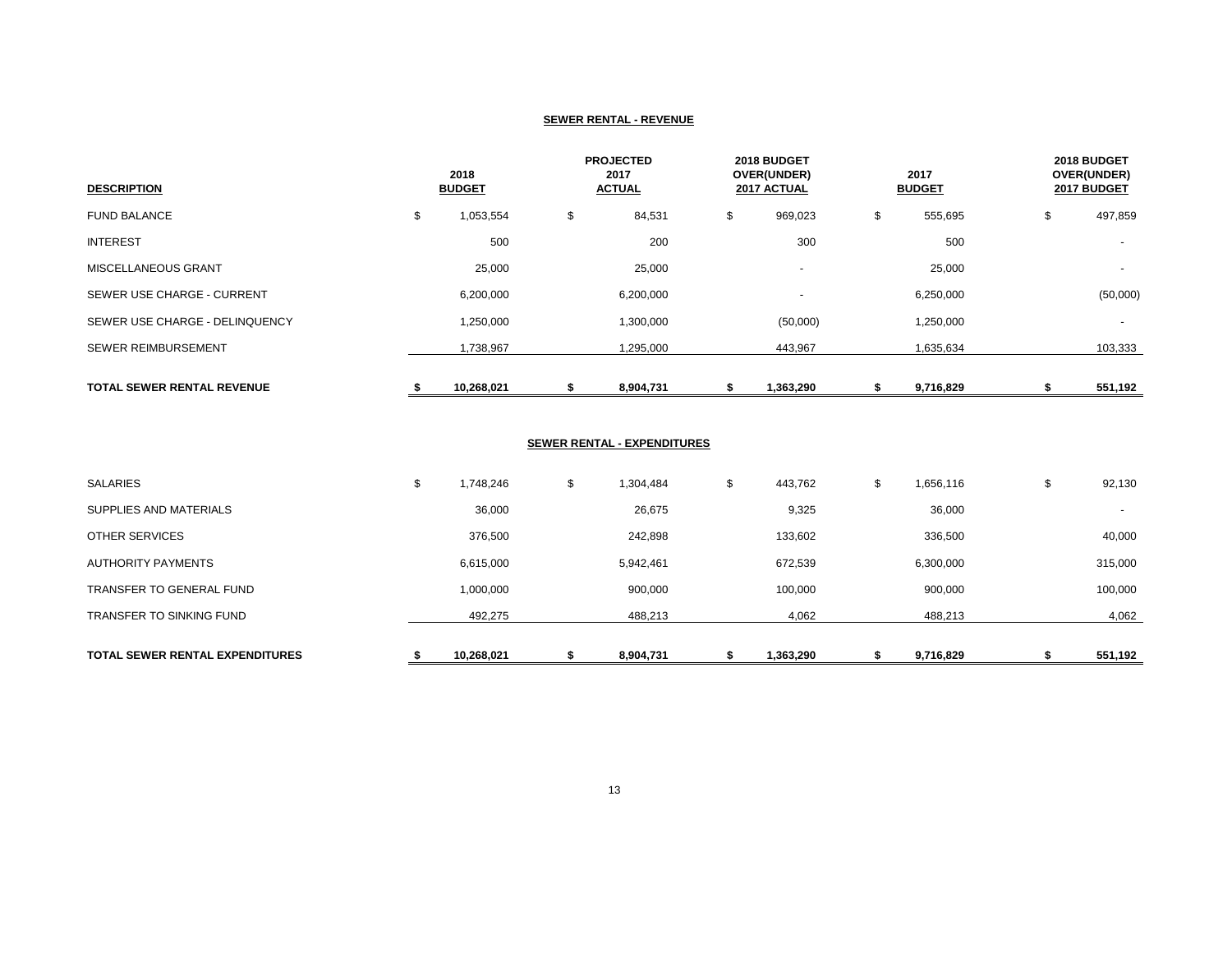#### **SEWER RENTAL - REVENUE**

| <b>DESCRIPTION</b>                |    | 2018<br><b>BUDGET</b> |    | <b>PROJECTED</b><br>2017<br><b>ACTUAL</b> |    | 2018 BUDGET<br>OVER(UNDER)<br>2017 ACTUAL |    | 2017<br><b>BUDGET</b> |    | 2018 BUDGET<br>OVER(UNDER)<br>2017 BUDGET |  |
|-----------------------------------|----|-----------------------|----|-------------------------------------------|----|-------------------------------------------|----|-----------------------|----|-------------------------------------------|--|
| <b>FUND BALANCE</b>               | \$ | 1,053,554             | \$ | 84,531                                    | \$ | 969,023                                   | \$ | 555,695               | \$ | 497,859                                   |  |
| <b>INTEREST</b>                   |    | 500                   |    | 200                                       |    | 300                                       |    | 500                   |    |                                           |  |
| <b>MISCELLANEOUS GRANT</b>        |    | 25,000                |    | 25,000                                    |    | $\overline{\phantom{a}}$                  |    | 25,000                |    | $\overline{\phantom{a}}$                  |  |
| SEWER USE CHARGE - CURRENT        |    | 6,200,000             |    | 6,200,000                                 |    |                                           |    | 6,250,000             |    | (50,000)                                  |  |
| SEWER USE CHARGE - DELINQUENCY    |    | 1,250,000             |    | 1,300,000                                 |    | (50,000)                                  |    | 1,250,000             |    | $\overline{\phantom{a}}$                  |  |
| <b>SEWER REIMBURSEMENT</b>        |    | 1,738,967             |    | 1,295,000                                 |    | 443,967                                   |    | 1,635,634             |    | 103,333                                   |  |
| <b>TOTAL SEWER RENTAL REVENUE</b> | ъ  | 10,268,021            |    | 8,904,731                                 |    | 1,363,290                                 |    | 9,716,829             |    | 551,192                                   |  |

## **SEWER RENTAL - EXPENDITURES**

|    | 492,275   | 488,213         | 4,062         | 488,213         | 4,062                    |
|----|-----------|-----------------|---------------|-----------------|--------------------------|
|    | 1,000,000 | 900,000         | 100,000       | 900,000         | 100,000                  |
|    | 6,615,000 | 5,942,461       | 672,539       | 6,300,000       | 315,000                  |
|    | 376,500   | 242,898         | 133,602       | 336,500         | 40,000                   |
|    | 36,000    | 26,675          | 9,325         | 36,000          | $\overline{\phantom{a}}$ |
| J. | 1,748,246 | \$<br>1,304,484 | \$<br>443,762 | \$<br>1,656,116 | \$<br>92,130             |
|    |           |                 |               |                 |                          |